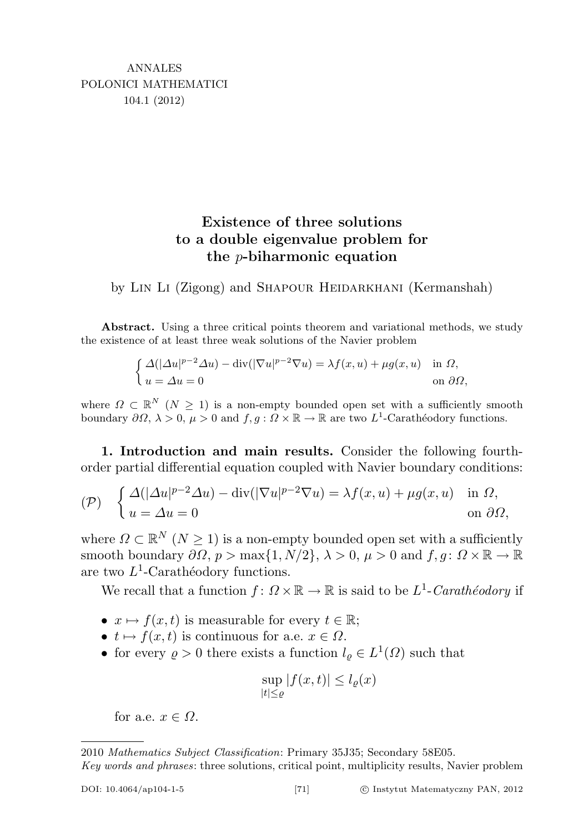## Existence of three solutions to a double eigenvalue problem for the p-biharmonic equation

by LIN LI (Zigong) and SHAPOUR HEIDARKHANI (Kermanshah)

Abstract. Using a three critical points theorem and variational methods, we study the existence of at least three weak solutions of the Navier problem

$$
\begin{cases} \Delta(|\Delta u|^{p-2}\Delta u) - \text{div}(|\nabla u|^{p-2}\nabla u) = \lambda f(x, u) + \mu g(x, u) & \text{in } \Omega, \\ u = \Delta u = 0 & \text{on } \partial\Omega, \end{cases}
$$

where  $\Omega \subset \mathbb{R}^N$  ( $N \geq 1$ ) is a non-empty bounded open set with a sufficiently smooth boundary  $\partial\Omega$ ,  $\lambda > 0$ ,  $\mu > 0$  and  $f, g: \Omega \times \mathbb{R} \to \mathbb{R}$  are two  $L^1$ -Carathéodory functions.

1. Introduction and main results. Consider the following fourthorder partial differential equation coupled with Navier boundary conditions:

<span id="page-0-0"></span>
$$
\begin{aligned} \n\text{(P)} \quad & \begin{cases} \Delta(|\Delta u|^{p-2}\Delta u) - \text{div}(|\nabla u|^{p-2}\nabla u) = \lambda f(x, u) + \mu g(x, u) & \text{in } \Omega, \\ u = \Delta u = 0 & \text{on } \partial \Omega, \end{cases} \n\end{aligned}
$$

where  $\Omega \subset \mathbb{R}^N$   $(N \geq 1)$  is a non-empty bounded open set with a sufficiently smooth boundary  $\partial\Omega$ ,  $p > \max\{1, N/2\}$ ,  $\lambda > 0$ ,  $\mu > 0$  and  $f, g: \Omega \times \mathbb{R} \to \mathbb{R}$ are two  $L^1$ -Carathéodory functions.

We recall that a function  $f: \Omega \times \mathbb{R} \to \mathbb{R}$  is said to be  $L^1$ -Carathéodory if

- $x \mapsto f(x, t)$  is measurable for every  $t \in \mathbb{R}$ ;
- $t \mapsto f(x, t)$  is continuous for a.e.  $x \in \Omega$ .
- for every  $\rho > 0$  there exists a function  $l_{\rho} \in L^1(\Omega)$  such that

$$
\sup_{|t| \le \varrho} |f(x,t)| \le l_{\varrho}(x)
$$

for a.e.  $x \in \Omega$ .

<sup>2010</sup> Mathematics Subject Classification: Primary 35J35; Secondary 58E05.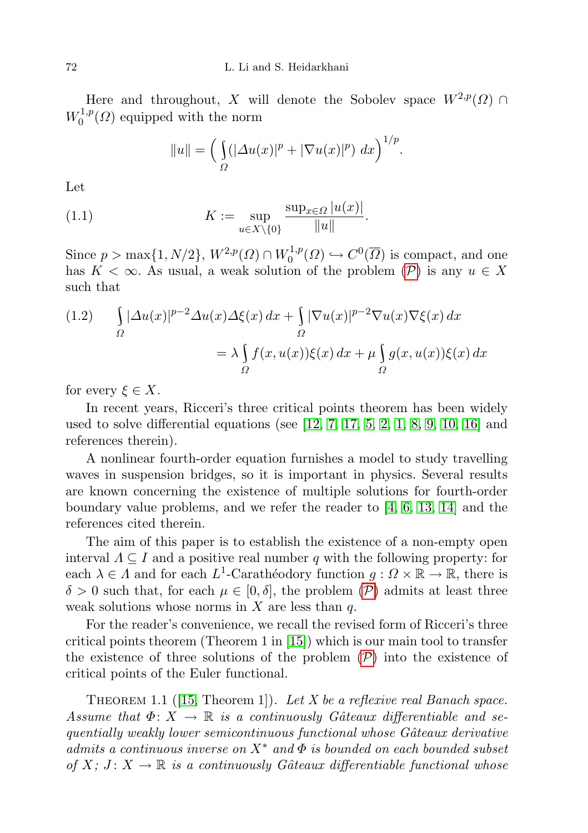Here and throughout, X will denote the Sobolev space  $W^{2,p}(\Omega) \cap$  $W_0^{1,p}$  $\mathcal{O}_0^{1,p}(\Omega)$  equipped with the norm

$$
||u|| = \left(\int_{\Omega} (|\Delta u(x)|^p + |\nabla u(x)|^p) \, dx\right)^{1/p}.
$$

Let

(1.1) 
$$
K := \sup_{u \in X \setminus \{0\}} \frac{\sup_{x \in \Omega} |u(x)|}{\|u\|}.
$$

Since  $p > \max\{1, N/2\}, W^{2,p}(\Omega) \cap W_0^{1,p}$  $C^{1,p}(\Omega) \hookrightarrow C^0(\overline{\Omega})$  is compact, and one has  $K < \infty$ . As usual, a weak solution of the problem  $(\mathcal{P})$  $(\mathcal{P})$  $(\mathcal{P})$  is any  $u \in X$ such that

<span id="page-1-1"></span>(1.2) 
$$
\int_{\Omega} |\Delta u(x)|^{p-2} \Delta u(x) \Delta \xi(x) dx + \int_{\Omega} |\nabla u(x)|^{p-2} \nabla u(x) \nabla \xi(x) dx
$$

$$
= \lambda \int_{\Omega} f(x, u(x)) \xi(x) dx + \mu \int_{\Omega} g(x, u(x)) \xi(x) dx
$$

for every  $\xi \in X$ .

In recent years, Ricceri's three critical points theorem has been widely used to solve differential equations (see  $[12, 7, 17, 5, 2, 1, 8, 9, 10, 16]$  $[12, 7, 17, 5, 2, 1, 8, 9, 10, 16]$  $[12, 7, 17, 5, 2, 1, 8, 9, 10, 16]$  $[12, 7, 17, 5, 2, 1, 8, 9, 10, 16]$  $[12, 7, 17, 5, 2, 1, 8, 9, 10, 16]$  $[12, 7, 17, 5, 2, 1, 8, 9, 10, 16]$  $[12, 7, 17, 5, 2, 1, 8, 9, 10, 16]$  $[12, 7, 17, 5, 2, 1, 8, 9, 10, 16]$  $[12, 7, 17, 5, 2, 1, 8, 9, 10, 16]$  $[12, 7, 17, 5, 2, 1, 8, 9, 10, 16]$  and references therein).

A nonlinear fourth-order equation furnishes a model to study travelling waves in suspension bridges, so it is important in physics. Several results are known concerning the existence of multiple solutions for fourth-order boundary value problems, and we refer the reader to [\[4,](#page-8-8) [6,](#page-8-9) [13,](#page-8-10) [14\]](#page-8-11) and the references cited therein.

The aim of this paper is to establish the existence of a non-empty open interval  $\Lambda \subseteq I$  and a positive real number q with the following property: for each  $\lambda \in \Lambda$  and for each  $L^1$ -Carathéodory function  $g : \Omega \times \mathbb{R} \to \mathbb{R}$ , there is  $\delta > 0$  such that, for each  $\mu \in [0, \delta]$ , the problem  $(\mathcal{P})$  $(\mathcal{P})$  $(\mathcal{P})$  admits at least three weak solutions whose norms in  $X$  are less than  $q$ .

For the reader's convenience, we recall the revised form of Ricceri's three critical points theorem (Theorem 1 in [\[15\]](#page-9-2)) which is our main tool to transfer the existence of three solutions of the problem  $(\mathcal{P})$  $(\mathcal{P})$  $(\mathcal{P})$  into the existence of critical points of the Euler functional.

<span id="page-1-0"></span>THEOREM1.1 ([\[15,](#page-9-2) Theorem 1]). Let X be a reflexive real Banach space. Assume that  $\Phi: X \to \mathbb{R}$  is a continuously Gâteaux differentiable and se $quentially weakly lower semicontinuous functional whose Gâteaux derivative$ admits a continuous inverse on  $X^*$  and  $\Phi$  is bounded on each bounded subset of X;  $J: X \to \mathbb{R}$  is a continuously Gâteaux differentiable functional whose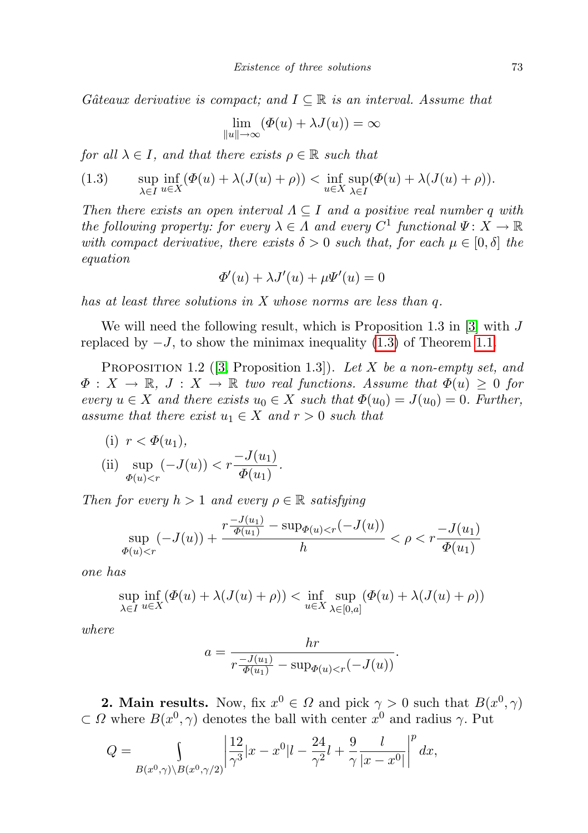Gâteaux derivative is compact; and  $I \subseteq \mathbb{R}$  is an interval. Assume that

$$
\lim_{\|u\|\to\infty} (\Phi(u) + \lambda J(u)) = \infty
$$

for all  $\lambda \in I$ , and that there exists  $\rho \in \mathbb{R}$  such that

<span id="page-2-0"></span>(1.3) 
$$
\sup_{\lambda \in I} \inf_{u \in X} (\Phi(u) + \lambda (J(u) + \rho)) < \inf_{u \in X} \sup_{\lambda \in I} (\Phi(u) + \lambda (J(u) + \rho)).
$$

Then there exists an open interval  $\Lambda \subseteq I$  and a positive real number q with the following property: for every  $\lambda \in \Lambda$  and every  $C^1$  functional  $\Psi \colon X \to \mathbb{R}$ with compact derivative, there exists  $\delta > 0$  such that, for each  $\mu \in [0, \delta]$  the equation

$$
\Phi'(u) + \lambda J'(u) + \mu \Psi'(u) = 0
$$

has at least three solutions in X whose norms are less than q.

We will need the following result, which is Proposition 1.3 in [\[3\]](#page-8-12) with J replaced by  $-J$ , to show the minimax inequality [\(1.3\)](#page-2-0) of Theorem [1.1.](#page-1-0)

PROPOSITION1.2 ([\[3,](#page-8-12) Proposition 1.3]). Let X be a non-empty set, and  $\Phi: X \to \mathbb{R}, J: X \to \mathbb{R}$  two real functions. Assume that  $\Phi(u) \geq 0$  for every  $u \in X$  and there exists  $u_0 \in X$  such that  $\Phi(u_0) = J(u_0) = 0$ . Further, assume that there exist  $u_1 \in X$  and  $r > 0$  such that

(i) 
$$
r < \Phi(u_1)
$$
,  
(ii)  $\sup_{\Phi(u) < r} (-J(u)) < r \frac{-J(u_1)}{\Phi(u_1)}$ .

Then for every  $h > 1$  and every  $\rho \in \mathbb{R}$  satisfying

$$
\sup_{\Phi(u) < r} (-J(u)) + \frac{r \frac{-J(u_1)}{\Phi(u_1)} - \sup_{\Phi(u) < r} (-J(u))}{h} < \rho < r \frac{-J(u_1)}{\Phi(u_1)}
$$

one has

$$
\sup_{\lambda \in I} \inf_{u \in X} (\Phi(u) + \lambda (J(u) + \rho)) < \inf_{u \in X} \sup_{\lambda \in [0,a]} (\Phi(u) + \lambda (J(u) + \rho))
$$

where

$$
a = \frac{hr}{r \frac{-J(u_1)}{\Phi(u_1)} - \sup_{\Phi(u) < r} (-J(u))}.
$$

**2. Main results.** Now, fix  $x^0 \in \Omega$  and pick  $\gamma > 0$  such that  $B(x^0, \gamma)$  $\subset \Omega$  where  $B(x^0, \gamma)$  denotes the ball with center  $x^0$  and radius  $\gamma$ . Put

$$
Q = \int_{B(x^0, \gamma) \backslash B(x^0, \gamma/2)} \left| \frac{12}{\gamma^3} |x - x^0| \right| - \frac{24}{\gamma^2} l + \frac{9}{\gamma} \frac{l}{|x - x^0|} \right|^p dx,
$$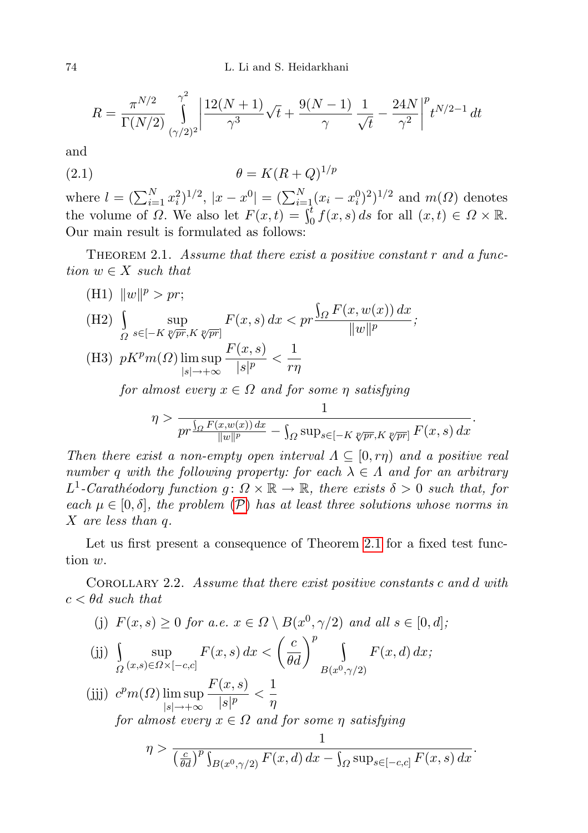<span id="page-3-2"></span>
$$
R = \frac{\pi^{N/2}}{\Gamma(N/2)} \int_{(\gamma/2)^2}^{\gamma^2} \left| \frac{12(N+1)}{\gamma^3} \sqrt{t} + \frac{9(N-1)}{\gamma} \frac{1}{\sqrt{t}} - \frac{24N}{\gamma^2} \right|^p t^{N/2 - 1} dt
$$

and

$$
\theta = K(R+Q)^{1/p}
$$

where  $l = (\sum_{i=1}^{N} x_i^2)^{1/2}$ ,  $|x - x^0| = (\sum_{i=1}^{N} (x_i - x_i^0)^2)^{1/2}$  and  $m(\Omega)$  denotes the volume of  $\Omega$ . We also let  $F(x,t) = \int_0^t f(x,s) ds$  for all  $(x,t) \in \Omega \times \mathbb{R}$ . Our main result is formulated as follows:

<span id="page-3-0"></span>THEOREM 2.1. Assume that there exist a positive constant  $r$  and a function  $w \in X$  such that

(H1)  $||w||^p > pr;$  $(H2)$ Ω sup  $\sup_{s \in [-K\sqrt[p]{pr}, K\sqrt[p]{pr}]} F(x, s) dx < pr$  $\int_{\Omega} F(x, w(x)) dx$  $\frac{d}{\|w\|^p};$ (H3)  $pK^pm(\Omega)$  lim sup  $|s| \rightarrow +\infty$  $F(x, s)$  $\frac{(x,s)}{|s|^p} < \frac{1}{r\eta}$ rη

for almost every  $x \in \Omega$  and for some  $\eta$  satisfying

$$
\eta > \frac{1}{pr^{\frac{\int_{\Omega} F(x, w(x)) dx}{\|w\|^p}} - \int_{\Omega} \sup_{s \in [-K] \sqrt[p]{pr}, K] \sqrt[p]{pr}} F(x, s) dx}.
$$

Then there exist a non-empty open interval  $\Lambda \subseteq [0, r\eta)$  and a positive real number q with the following property: for each  $\lambda \in \Lambda$  and for an arbitrary  $L^1$ -Carathéodory function  $g: \Omega \times \mathbb{R} \to \mathbb{R}$ , there exists  $\delta > 0$  such that, for each  $\mu \in [0, \delta]$ , the problem  $(\mathcal{P})$  $(\mathcal{P})$  $(\mathcal{P})$  has at least three solutions whose norms in X are less than q.

Let us first present a consequence of Theorem [2.1](#page-3-0) for a fixed test function w.

<span id="page-3-1"></span>COROLLARY 2.2. Assume that there exist positive constants c and d with  $c < \theta d$  such that

(j) 
$$
F(x, s) \ge 0
$$
 for a.e.  $x \in \Omega \setminus B(x^0, \gamma/2)$  and all  $s \in [0, d]$ ;  
\n(j)  $\int_{\Omega} \sup_{(x, s) \in \Omega \times [-c, c]} F(x, s) dx < \left(\frac{c}{\theta d}\right)^p \int_{B(x^0, \gamma/2)} F(x, d) dx$ ;  
\n(j)  $c^p m(\Omega) \limsup_{|s| \to +\infty} \frac{F(x, s)}{|s|^p} < \frac{1}{\eta}$   
\nfor almost every  $x \in \Omega$  and for some  $\eta$  satisfying  
\n $\eta > \frac{1}{\left(\frac{c}{\theta d}\right)^p \int_{B(x^0, \gamma/2)} F(x, d) dx - \int_{\Omega} \sup_{s \in [-c, c]} F(x, s) dx}$ .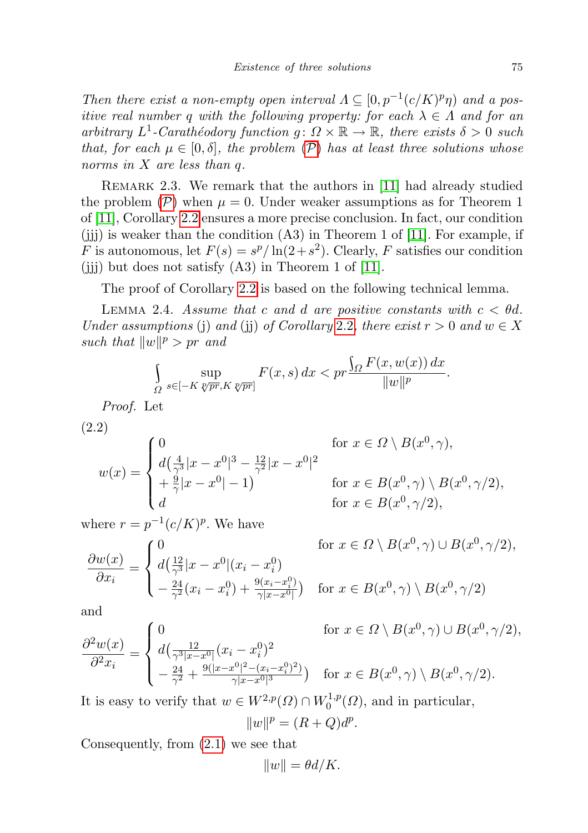Then there exist a non-empty open interval  $\Lambda \subseteq [0, p^{-1}(c/K)^p \eta)$  and a positive real number q with the following property: for each  $\lambda \in \Lambda$  and for an arbitrary  $L^1$ -Carathéodory function  $g: \Omega \times \mathbb{R} \to \mathbb{R}$ , there exists  $\delta > 0$  such that, for each  $\mu \in [0, \delta]$ , the problem  $(\mathcal{P})$  $(\mathcal{P})$  $(\mathcal{P})$  has at least three solutions whose norms in X are less than q.

Remark 2.3. We remark that the authors in [\[11\]](#page-8-13) had already studied the problem  $(\mathcal{P})$  $(\mathcal{P})$  $(\mathcal{P})$  when  $\mu = 0$ . Under weaker assumptions as for Theorem 1 of [\[11\]](#page-8-13), Corollary [2.2](#page-3-1) ensures a more precise conclusion. In fact, our condition  $(jjj)$  is weaker than the condition  $(A3)$  in Theorem 1 of [\[11\]](#page-8-13). For example, if F is autonomous, let  $F(s) = s^p / \ln(2+s^2)$ . Clearly, F satisfies our condition  $(ijj)$  but does not satisfy  $(A3)$  in Theorem 1 of [\[11\]](#page-8-13).

The proof of Corollary [2.2](#page-3-1) is based on the following technical lemma.

<span id="page-4-0"></span>LEMMA 2.4. Assume that c and d are positive constants with  $c < \theta d$ . Under assumptions (j) and (j) of Corollary [2.2](#page-3-1), there exist  $r > 0$  and  $w \in X$ such that  $||w||^p > pr$  and

$$
\int_{\Omega} \sup_{s \in [-K]} \sup_{\mathcal{V}\overline{pr}, K} F(x, s) dx < pr \frac{\int_{\Omega} F(x, w(x)) dx}{\|w\|^p}.
$$

Proof. Let

(2.2)

<span id="page-4-1"></span>
$$
w(x) = \begin{cases} 0 & \text{for } x \in \Omega \setminus B(x^0, \gamma), \\ \frac{d(\frac{4}{\gamma^3}|x - x^0|^3 - \frac{12}{\gamma^2}|x - x^0|^2}{\frac{9}{\gamma}|x - x^0| - 1)} & \text{for } x \in B(x^0, \gamma) \setminus B(x^0, \gamma), \\ d & \text{for } x \in B(x^0, \gamma/2), \end{cases}
$$

for  $x \in B(x^0, \gamma) \setminus B(x^0, \gamma/2)$ ,  $(0, \gamma/2),$ 

where  $r = p^{-1}(c/K)^p$ . We have  $\sqrt{2}$ 

$$
\frac{\partial w(x)}{\partial x_i} = \begin{cases} 0 & \text{for } x \in \Omega \setminus B(x^0, \gamma) \cup B(x^0, \gamma/2), \\ d\left(\frac{12}{\gamma^3}|x - x^0|(x_i - x_i^0)\right) & \text{for } x \in B(x^0, \gamma) \setminus B(x^0, \gamma/2) \\ -\frac{24}{\gamma^2}(x_i - x_i^0) + \frac{9(x_i - x_i^0)}{\gamma|x - x^0|}\right) & \text{for } x \in B(x^0, \gamma) \setminus B(x^0, \gamma/2) \end{cases}
$$

and

$$
\frac{\partial^2 w(x)}{\partial^2 x_i} = \begin{cases} 0 & \text{for } x \in \Omega \setminus B(x^0, \gamma) \cup B(x^0, \gamma/2), \\ d\left(\frac{12}{\gamma^3 |x - x^0|} (x_i - x_i^0)^2 - (x_i - x_i^0)^2\right) \\ -\frac{24}{\gamma^2} + \frac{9(|x - x^0|^2 - (x_i - x_i^0)^2)}{\gamma |x - x^0|^3} & \text{for } x \in B(x^0, \gamma) \setminus B(x^0, \gamma/2). \end{cases}
$$

It is easy to verify that  $w \in W^{2,p}(\Omega) \cap W^{1,p}_0$  $C_0^{1,p}(\Omega)$ , and in particular,  $||w||^p = (R+Q)d^p.$ 

Consequently, from [\(2.1\)](#page-3-2) we see that

$$
||w|| = \theta d/K.
$$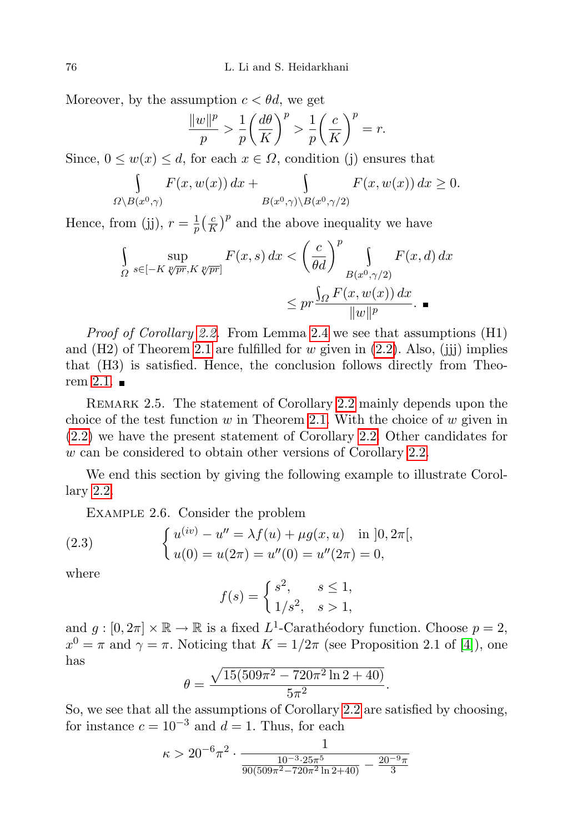Moreover, by the assumption  $c < \theta d$ , we get

$$
\frac{\|w\|^p}{p} > \frac{1}{p} \left(\frac{d\theta}{K}\right)^p > \frac{1}{p} \left(\frac{c}{K}\right)^p = r.
$$

Since,  $0 \leq w(x) \leq d$ , for each  $x \in \Omega$ , condition (j) ensures that

$$
\int_{\Omega \setminus B(x^0, \gamma)} F(x, w(x)) dx + \int_{B(x^0, \gamma) \setminus B(x^0, \gamma/2)} F(x, w(x)) dx \ge 0.
$$

Hence, from (jj),  $r = \frac{1}{n}$  $\frac{1}{p}(\frac{c}{K}$  $\left(\frac{c}{K}\right)^p$  and the above inequality we have

$$
\int_{\Omega} \sup_{s \in [-K]} \sup_{\sqrt[p]{pr}, K} F(x, s) dx < \left(\frac{c}{\theta d}\right)^p \int_{B(x^0, \gamma/2)} F(x, d) dx
$$
\n
$$
\leq pr \frac{\int_{\Omega} F(x, w(x)) dx}{\|w\|^p}.
$$

Proof of Corollary [2.2.](#page-3-1) From Lemma [2.4](#page-4-0) we see that assumptions (H1) and  $(H2)$  of Theorem [2.1](#page-3-0) are fulfilled for w given in  $(2.2)$ . Also,  $(iii)$  implies that (H3) is satisfied. Hence, the conclusion follows directly from Theo-rem [2.1.](#page-3-0)  $\blacksquare$ 

REMARK 2.5. The statement of Corollary [2.2](#page-3-1) mainly depends upon the choice of the test function  $w$  in Theorem [2.1.](#page-3-0) With the choice of  $w$  given in [\(2.2\)](#page-4-1) we have the present statement of Corollary [2.2.](#page-3-1) Other candidates for w can be considered to obtain other versions of Corollary [2.2.](#page-3-1)

We end this section by giving the following example to illustrate Corollary [2.2.](#page-3-1)

<span id="page-5-0"></span>Example 2.6. Consider the problem

(2.3) 
$$
\begin{cases} u^{(iv)} - u'' = \lambda f(u) + \mu g(x, u) \text{ in } ]0, 2\pi[, \\ u(0) = u(2\pi) = u''(0) = u''(2\pi) = 0, \end{cases}
$$

where

$$
f(s) = \begin{cases} s^2, & s \le 1, \\ 1/s^2, & s > 1, \end{cases}
$$

and  $g: [0, 2\pi] \times \mathbb{R} \to \mathbb{R}$  is a fixed  $L^1$ -Carathéodory function. Choose  $p = 2$ ,  $x^0 = \pi$  and  $\gamma = \pi$ . Noticing that  $K = 1/2\pi$  (see Proposition 2.1 of [\[4\]](#page-8-8)), one has

$$
\theta = \frac{\sqrt{15(509\pi^2 - 720\pi^2 \ln 2 + 40)}}{5\pi^2}.
$$

So, we see that all the assumptions of Corollary [2.2](#page-3-1) are satisfied by choosing, for instance  $c = 10^{-3}$  and  $d = 1$ . Thus, for each

$$
\kappa > 20^{-6} \pi^2 \cdot \frac{1}{\frac{10^{-3} \cdot 25 \pi^5}{90 (509 \pi^2 - 720 \pi^2 \ln 2 + 40)} - \frac{20^{-9} \pi}{3}}
$$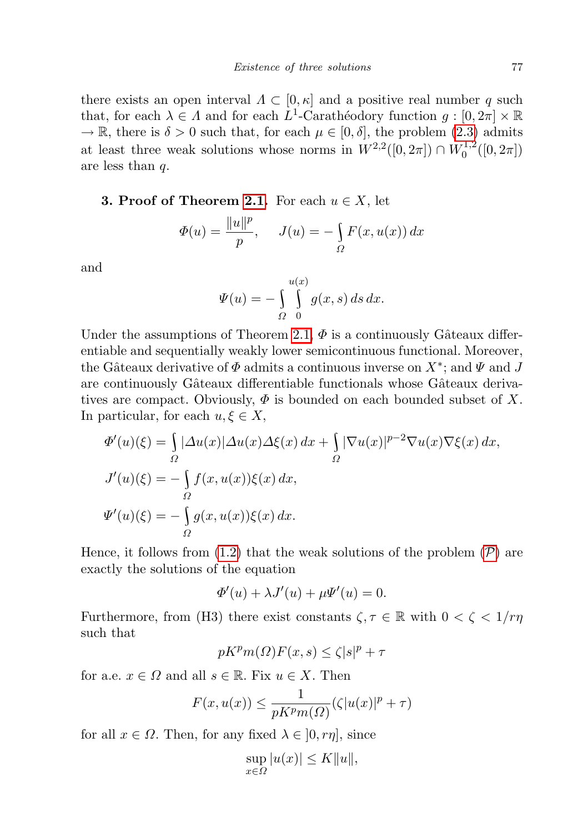there exists an open interval  $\Lambda \subset [0, \kappa]$  and a positive real number q such that, for each  $\lambda \in \Lambda$  and for each  $\dot{L}^1$ -Carathéodory function  $g: [0, 2\pi] \times \mathbb{R}$  $\rightarrow \mathbb{R}$ , there is  $\delta > 0$  such that, for each  $\mu \in [0, \delta]$ , the problem [\(2.3\)](#page-5-0) admits at least three weak solutions whose norms in  $W^{2,2}([0, 2\pi]) \cap W_0^{1,2}$  $\binom{1,2}{0}([0,2\pi])$ are less than q.

**3. Proof of Theorem [2.1.](#page-3-0)** For each  $u \in X$ , let

$$
\Phi(u) = \frac{\|u\|^p}{p}, \quad J(u) = -\int_{\Omega} F(x, u(x)) dx
$$

and

$$
\Psi(u) = -\int_{\Omega} \int_{0}^{u(x)} g(x, s) \, ds \, dx.
$$

Under the assumptions of Theorem [2.1,](#page-3-0)  $\Phi$  is a continuously Gâteaux differentiable and sequentially weakly lower semicontinuous functional. Moreover, the Gâteaux derivative of  $\Phi$  admits a continuous inverse on  $X^*$ ; and  $\Psi$  and  $J$ are continuously Gâteaux differentiable functionals whose Gâteaux derivatives are compact. Obviously,  $\Phi$  is bounded on each bounded subset of X. In particular, for each  $u, \xi \in X$ ,

$$
\Phi'(u)(\xi) = \int_{\Omega} |\Delta u(x)| \Delta u(x) \Delta \xi(x) dx + \int_{\Omega} |\nabla u(x)|^{p-2} \nabla u(x) \nabla \xi(x) dx,
$$
  

$$
J'(u)(\xi) = -\int_{\Omega} f(x, u(x)) \xi(x) dx,
$$
  

$$
\Psi'(u)(\xi) = -\int_{\Omega} g(x, u(x)) \xi(x) dx.
$$

Hence, it follows from  $(1.2)$  that the weak solutions of the problem  $(\mathcal{P})$  $(\mathcal{P})$  $(\mathcal{P})$  are exactly the solutions of the equation

$$
\Phi'(u) + \lambda J'(u) + \mu \Psi'(u) = 0.
$$

Furthermore, from (H3) there exist constants  $\zeta, \tau \in \mathbb{R}$  with  $0 < \zeta < 1/r\eta$ such that

$$
pK^p m(\Omega) F(x, s) \le \zeta |s|^p + \tau
$$

for a.e.  $x \in \Omega$  and all  $s \in \mathbb{R}$ . Fix  $u \in X$ . Then

$$
F(x, u(x)) \le \frac{1}{pK^p m(\varOmega)} (\zeta |u(x)|^p + \tau)
$$

for all  $x \in \Omega$ . Then, for any fixed  $\lambda \in [0, r\eta]$ , since

$$
\sup_{x \in \Omega} |u(x)| \le K ||u||,
$$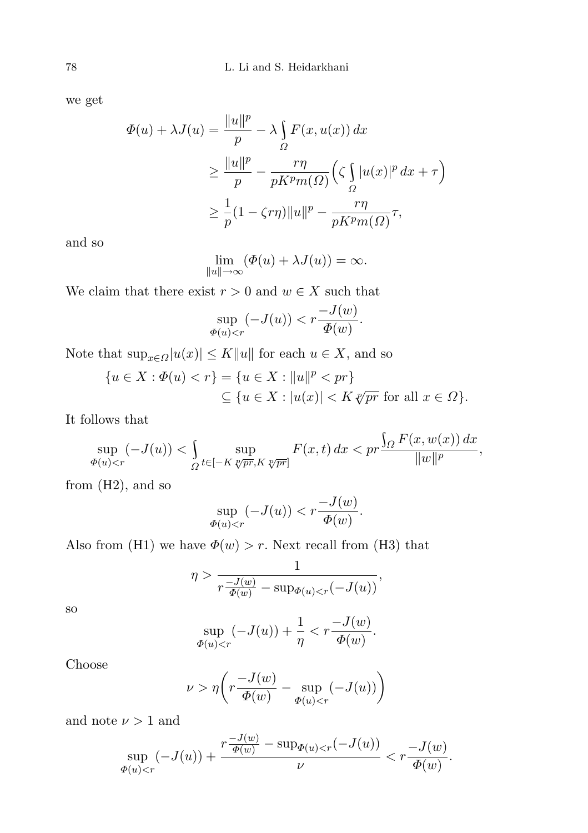we get

$$
\Phi(u) + \lambda J(u) = \frac{\|u\|^p}{p} - \lambda \int_{\Omega} F(x, u(x)) dx
$$
  
\n
$$
\geq \frac{\|u\|^p}{p} - \frac{r\eta}{pK^p m(\Omega)} \left(\zeta \int_{\Omega} |u(x)|^p dx + \tau\right)
$$
  
\n
$$
\geq \frac{1}{p} (1 - \zeta r \eta) \|u\|^p - \frac{r\eta}{pK^p m(\Omega)} \tau,
$$

and so

$$
\lim_{\|u\| \to \infty} (\Phi(u) + \lambda J(u)) = \infty.
$$

We claim that there exist  $r > 0$  and  $w \in X$  such that

$$
\sup_{\Phi(u)< r}(-J(u)) < r\frac{-J(w)}{\Phi(w)}.
$$

Note that  $\sup_{x \in \Omega} |u(x)| \le K ||u||$  for each  $u \in X$ , and so

$$
\{u \in X : \Phi(u) < r\} = \{u \in X : ||u||^p < pr\}
$$
\n
$$
\subseteq \{u \in X : |u(x)| < K \sqrt[p]{pr} \text{ for all } x \in \Omega\}.
$$

It follows that

$$
\sup_{\Phi(u)< r}(-J(u)) < \int_{\Omega} \sup_{t\in[-K] \text{ for } K} \sup_{\mathcal{V} \text{ for } K} F(x,t) \, dx < pr \frac{\int_{\Omega} F(x,w(x)) \, dx}{\|w\|^p},
$$

from  $(H2)$ , and so

$$
\sup_{\Phi(u)< r} (-J(u)) < r \frac{-J(w)}{\Phi(w)}.
$$

Also from (H1) we have  $\Phi(w) > r$ . Next recall from (H3) that

$$
\eta > \frac{1}{r\frac{-J(w)}{\Phi(w)} - \sup_{\Phi(u) < r} (-J(u))},
$$

so

$$
\sup_{\Phi(u)< r}(-J(u)) + \frac{1}{\eta} < r\frac{-J(w)}{\Phi(w)}.
$$

Choose

$$
\nu > \eta \left( r \frac{-J(w)}{\Phi(w)} - \sup_{\Phi(u) < r} (-J(u)) \right)
$$

and note  $\nu>1$  and

$$
\sup_{\varPhi(u)
$$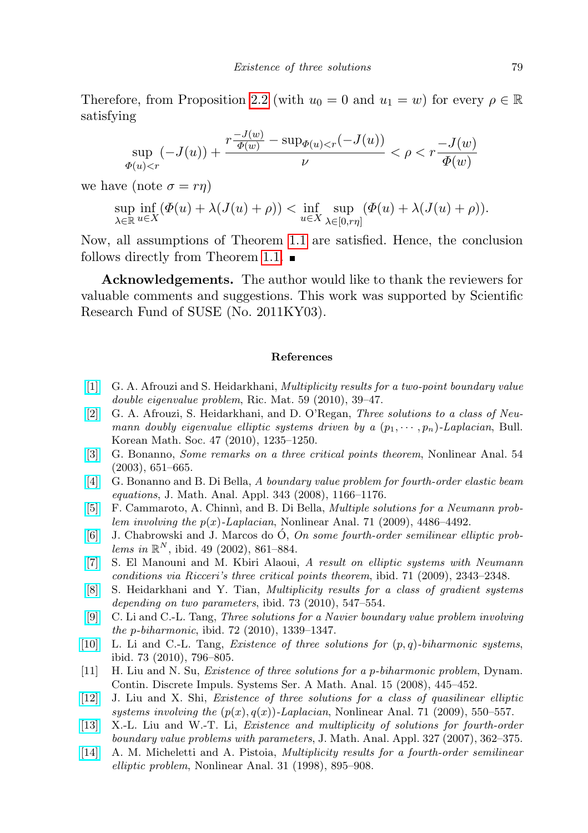Therefore, from Proposition [2.2](#page-3-1) (with  $u_0 = 0$  and  $u_1 = w$ ) for every  $\rho \in \mathbb{R}$ satisfying

$$
\sup_{\varPhi(u)
$$

we have (note  $\sigma = r\eta$ )

sup  $\lambda \in \mathbb{\bar{R}}$  $\inf_{u \in X} (\Phi(u) + \lambda (J(u) + \rho)) < \inf_{u \in X} \sup_{\lambda \in [0, r]}$  $\lambda \in [0,r\eta]$  $(\Phi(u) + \lambda (J(u) + \rho)).$ 

Now, all assumptions of Theorem [1.1](#page-1-0) are satisfied. Hence, the conclusion follows directly from Theorem [1.1.](#page-1-0)  $\blacksquare$ 

Acknowledgements. The author would like to thank the reviewers for valuable comments and suggestions. This work was supported by Scientific Research Fund of SUSE (No. 2011KY03).

## References

- <span id="page-8-4"></span>[\[1\]](http://dx.doi.org/10.1007/s11587-010-0072-y) G. A. Afrouzi and S. Heidarkhani, Multiplicity results for a two-point boundary value double eigenvalue problem, Ric. Mat. 59 (2010), 39–47.
- <span id="page-8-3"></span>[\[2\]](http://dx.doi.org/10.4134/BKMS.2010.47.6.1235) G. A. Afrouzi, S. Heidarkhani, and D. O'Regan, Three solutions to a class of Neumann doubly eigenvalue elliptic systems driven by a  $(p_1, \dots, p_n)$ -Laplacian, Bull. Korean Math. Soc. 47 (2010), 1235–1250.
- <span id="page-8-12"></span>[\[3\]](http://dx.doi.org/10.1016/S0362-546X(03)00092-0) G. Bonanno, Some remarks on a three critical points theorem, Nonlinear Anal. 54 (2003), 651–665.
- <span id="page-8-8"></span>[\[4\]](http://dx.doi.org/10.1016/j.jmaa.2008.01.049) G. Bonanno and B. Di Bella, A boundary value problem for fourth-order elastic beam equations, J. Math. Anal. Appl. 343 (2008), 1166–1176.
- <span id="page-8-2"></span>[\[5\]](http://dx.doi.org/10.1016/j.na.2009.03.009) F. Cammaroto, A. Chinn`ı, and B. Di Bella, Multiple solutions for a Neumann problem involving the  $p(x)$ -Laplacian, Nonlinear Anal. 71 (2009), 4486-4492.
- <span id="page-8-9"></span> $[6]$  J. Chabrowski and J. Marcos do  $\acute{O}$ , On some fourth-order semilinear elliptic problems in  $\mathbb{R}^N$ , ibid. 49 (2002), 861-884.
- <span id="page-8-1"></span>[\[7\]](http://dx.doi.org/10.1016/j.na.2009.01.068) S. El Manouni and M. Kbiri Alaoui, A result on elliptic systems with Neumann conditions via Ricceri's three critical points theorem, ibid. 71 (2009), 2343–2348.
- <span id="page-8-5"></span>[\[8\]](http://dx.doi.org/10.1016/j.na.2010.03.051) S. Heidarkhani and Y. Tian, Multiplicity results for a class of gradient systems depending on two parameters, ibid. 73 (2010), 547–554.
- <span id="page-8-6"></span>[\[9\]](http://dx.doi.org/10.1016/j.na.2009.08.011) C. Li and C.-L. Tang, Three solutions for a Navier boundary value problem involving the p-biharmonic, ibid. 72 (2010), 1339–1347.
- <span id="page-8-7"></span>[\[10\]](http://dx.doi.org/10.1016/j.na.2010.04.018) L. Li and C.-L. Tang, *Existence of three solutions for*  $(p, q)$ -biharmonic systems, ibid. 73 (2010), 796–805.
- <span id="page-8-13"></span>[11] H. Liu and N. Su, Existence of three solutions for a p-biharmonic problem, Dynam. Contin. Discrete Impuls. Systems Ser. A Math. Anal. 15 (2008), 445–452.
- <span id="page-8-0"></span>[\[12\]](http://dx.doi.org/10.1016/j.na.2008.10.094) J. Liu and X. Shi, Existence of three solutions for a class of quasilinear elliptic systems involving the  $(p(x), q(x))$ -Laplacian, Nonlinear Anal. 71 (2009), 550–557.
- <span id="page-8-10"></span>[\[13\]](http://dx.doi.org/10.1016/j.jmaa.2006.04.021) X.-L. Liu and W.-T. Li, Existence and multiplicity of solutions for fourth-order boundary value problems with parameters, J. Math. Anal. Appl. 327 (2007), 362–375.
- <span id="page-8-11"></span>[\[14\]](http://dx.doi.org/10.1016/S0362-546X(97)00446-X) A. M. Micheletti and A. Pistoia, Multiplicity results for a fourth-order semilinear elliptic problem, Nonlinear Anal. 31 (1998), 895–908.